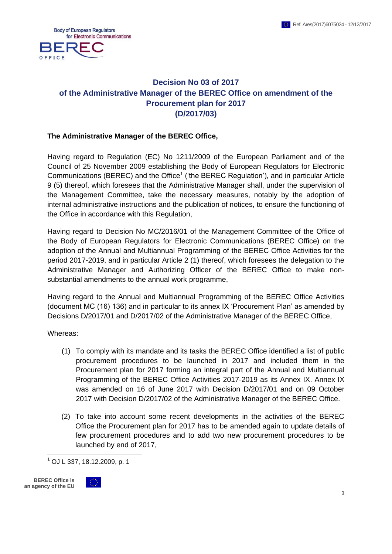

# **Decision No 03 of 2017 of the Administrative Manager of the BEREC Office on amendment of the Procurement plan for 2017 (D/2017/03)**

#### **The Administrative Manager of the BEREC Office,**

Having regard to Regulation (EC) No 1211/2009 of the European Parliament and of the Council of 25 November 2009 establishing the Body of European Regulators for Electronic Communications (BEREC) and the Office<sup>1</sup> ('the BEREC Regulation'), and in particular Article 9 (5) thereof, which foresees that the Administrative Manager shall, under the supervision of the Management Committee, take the necessary measures, notably by the adoption of internal administrative instructions and the publication of notices, to ensure the functioning of the Office in accordance with this Regulation,

Having regard to Decision No MC/2016/01 of the Management Committee of the Office of the Body of European Regulators for Electronic Communications (BEREC Office) on the adoption of the Annual and Multiannual Programming of the BEREC Office Activities for the period 2017-2019, and in particular Article 2 (1) thereof, which foresees the delegation to the Administrative Manager and Authorizing Officer of the BEREC Office to make nonsubstantial amendments to the annual work programme,

Having regard to the Annual and Multiannual Programming of the BEREC Office Activities (document MC (16) 136) and in particular to its annex IX 'Procurement Plan' as amended by Decisions D/2017/01 and D/2017/02 of the Administrative Manager of the BEREC Office,

Whereas:

- (1) To comply with its mandate and its tasks the BEREC Office identified a list of public procurement procedures to be launched in 2017 and included them in the Procurement plan for 2017 forming an integral part of the Annual and Multiannual Programming of the BEREC Office Activities 2017-2019 as its Annex IX. Annex IX was amended on 16 of June 2017 with Decision D/2017/01 and on 09 October 2017 with Decision D/2017/02 of the Administrative Manager of the BEREC Office.
- (2) To take into account some recent developments in the activities of the BEREC Office the Procurement plan for 2017 has to be amended again to update details of few procurement procedures and to add two new procurement procedures to be launched by end of 2017,

 $^{1}$  OJ L 337, 18.12.2009, p. 1

 $\overline{a}$ 

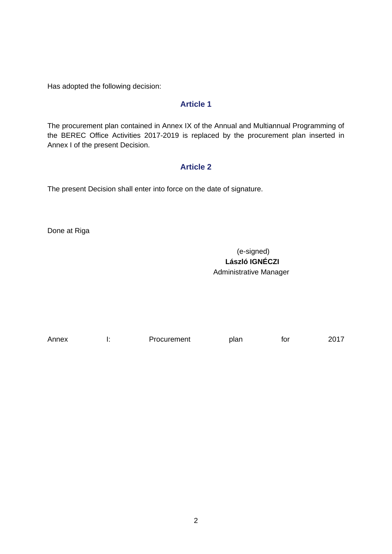Has adopted the following decision:

### **Article 1**

The procurement plan contained in Annex IX of the Annual and Multiannual Programming of the BEREC Office Activities 2017-2019 is replaced by the procurement plan inserted in Annex I of the present Decision.

### **Article 2**

The present Decision shall enter into force on the date of signature.

Done at Riga

(e-signed)  **László IGNÉCZI** Administrative Manager

| Annex | Procurement | plan | tor | 2017 |
|-------|-------------|------|-----|------|